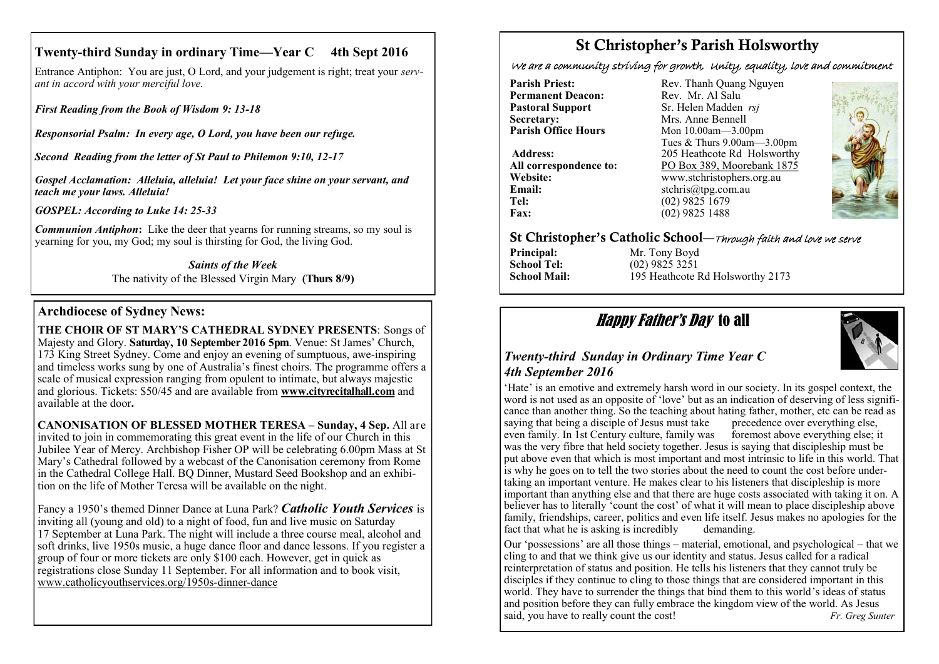## **Twenty-third Sunday in ordinary Time—Year C 4th Sept 2016**

Entrance Antiphon: You are just, O Lord, and your judgement is right; treat your *servant in accord with your merciful love.*

*First Reading from the Book of Wisdom 9: 13-18*

*Responsorial Psalm: In every age, O Lord, you have been our refuge.*

*Second Reading from the letter of St Paul to Philemon 9:10, 12-17*

*Gospel Acclamation: Alleluia, alleluia! Let your face shine on your servant, and teach me your laws. Alleluia!*

*GOSPEL: According to Luke 14: 25-33*

*Communion Antiphon*: Like the deer that yearns for running streams, so my soul is yearning for you, my God; my soul is thirsting for God, the living God.

> *Saints of the Week* The nativity of the Blessed Virgin Mary **(Thurs 8/9)**

## **Archdiocese of Sydney News:**

**THE CHOIR OF ST MARY'S CATHEDRAL SYDNEY PRESENTS**: Songs of Majesty and Glory. **Saturday, 10 September 2016 5pm**. Venue: St James' Church, 173 King Street Sydney. Come and enjoy an evening of sumptuous, awe-inspiring and timeless works sung by one of Australia's finest choirs. The programme offers a scale of musical expression ranging from opulent to intimate, but always majestic and glorious. Tickets: \$50/45 and are available from **[www.cityrecitalhall.com](http://www.cityrecitalhall.com)** and available at the door**.**

**CANONISATION OF BLESSED MOTHER TERESA – Sunday, 4 Sep.** All are invited to join in commemorating this great event in the life of our Church in this Jubilee Year of Mercy. Archbishop Fisher OP will be celebrating 6.00pm Mass at St Mary's Cathedral followed by a webcast of the Canonisation ceremony from Rome in the Cathedral College Hall. BQ Dinner, Mustard Seed Bookshop and an exhibition on the life of Mother Teresa will be available on the night.

Fancy a 1950's themed Dinner Dance at Luna Park? *Catholic Youth Services* is inviting all (young and old) to a night of food, fun and live music on Saturday 17 September at Luna Park. The night will include a three course meal, alcohol and soft drinks, live 1950s music, a huge dance floor and dance lessons. If you register a group of four or more tickets are only \$100 each. However, get in quick as registrations close Sunday 11 September. For all information and to book visit, [www.catholicyouthservices.org/1950s](http://www.catholicyouthservices.org/1950s-dinner-dance)-dinner-dance

# St Christopher's Parish Holsworthy

We are a community striving for growth, Unity, equality, love and commitment

**Permanent Deacon:**<br>**Pastoral Support Secretary:**  $\overrightarrow{ }$  Mrs. Anne Bennell<br>**Parish Office Hours** Mon 10.00am - 3.00

**Email:** stchris@tpg.com.au<br> **Tel:** (02) 9825 1679 **Fax:** (02) 9825 1488

**Parish Priest:** Rev. Thanh Quang Nguyen<br> **Permanent Deacon:** Rev. Mr. Al Salu **Pastoral Support** Sr. Helen Madden *rsj*<br>
Secretary: Mrs. Anne Bennell **Mon 10.00am—3.00pm** Tues & Thurs 9.00am—3.00pm Address: 205 Heathcote Rd Holsworthy **All correspondence to:** PO Box 389, Moorebank 1875 **Website:** www.stchristophers.org.au<br> **Email:** stchris@tng.com au **Tel:** (02) 9825 1679



### St Christopher's Catholic School—Through faith and love we serve

**Principal:** Mr. Tony Boyd<br> **School Tel:** (02) 9825 3251

**School Tel:** (02) 9825 3251<br> **School Mail:** 195 Heathcote F 195 Heathcote Rd Holsworthy 2173

# Happy Father's Day to all



### *Twenty-third Sunday in Ordinary Time Year C 4th September 2016*

'Hate' is an emotive and extremely harsh word in our society. In its gospel context, the word is not used as an opposite of 'love' but as an indication of deserving of less significance than another thing. So the teaching about hating father, mother, etc can be read as saying that being a disciple of Jesus must take precedence over everything else. saying that being a disciple of Jesus must take even family. In 1st Century culture, family was foremost above everything else; it was the very fibre that held society together. Jesus is saying that discipleship must be put above even that which is most important and most intrinsic to life in this world. That is why he goes on to tell the two stories about the need to count the cost before undertaking an important venture. He makes clear to his listeners that discipleship is more important than anything else and that there are huge costs associated with taking it on. A believer has to literally 'count the cost' of what it will mean to place discipleship above family, friendships, career, politics and even life itself. Jesus makes no apologies for the fact that what he is asking is incredibly demanding.

Our 'possessions' are all those things – material, emotional, and psychological – that we cling to and that we think give us our identity and status. Jesus called for a radical reinterpretation of status and position. He tells his listeners that they cannot truly be disciples if they continue to cling to those things that are considered important in this world. They have to surrender the things that bind them to this world's ideas of status and position before they can fully embrace the kingdom view of the world. As Jesus said, you have to really count the cost! *Fr. Greg Sunter*